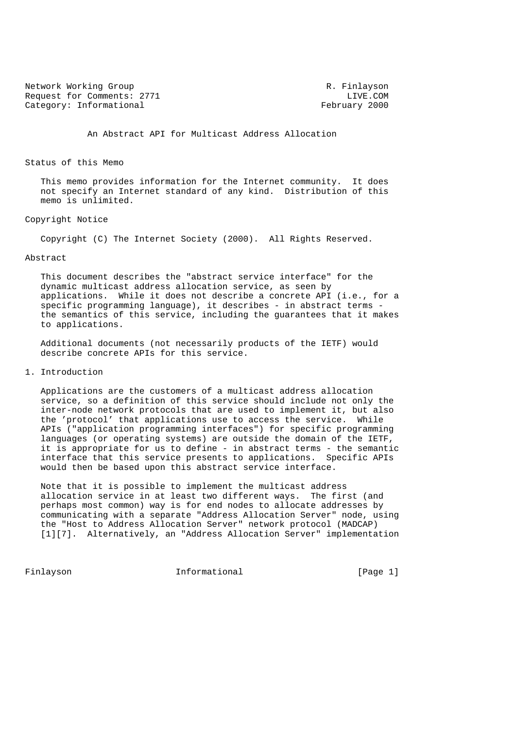Network Working Group<br>Request for Comments: 2771 Telecomments: 2771 Request for Comments: 2771 LIVE.COM<br>Category: Informational extended by Repruary 2000 Category: Informational

An Abstract API for Multicast Address Allocation

# Status of this Memo

 This memo provides information for the Internet community. It does not specify an Internet standard of any kind. Distribution of this memo is unlimited.

#### Copyright Notice

Copyright (C) The Internet Society (2000). All Rights Reserved.

# Abstract

 This document describes the "abstract service interface" for the dynamic multicast address allocation service, as seen by applications. While it does not describe a concrete API (i.e., for a specific programming language), it describes - in abstract terms the semantics of this service, including the guarantees that it makes to applications.

 Additional documents (not necessarily products of the IETF) would describe concrete APIs for this service.

# 1. Introduction

 Applications are the customers of a multicast address allocation service, so a definition of this service should include not only the inter-node network protocols that are used to implement it, but also the 'protocol' that applications use to access the service. While APIs ("application programming interfaces") for specific programming languages (or operating systems) are outside the domain of the IETF, it is appropriate for us to define - in abstract terms - the semantic interface that this service presents to applications. Specific APIs would then be based upon this abstract service interface.

 Note that it is possible to implement the multicast address allocation service in at least two different ways. The first (and perhaps most common) way is for end nodes to allocate addresses by communicating with a separate "Address Allocation Server" node, using the "Host to Address Allocation Server" network protocol (MADCAP) [1][7]. Alternatively, an "Address Allocation Server" implementation

Finlayson 10 Informational 10 (Page 1)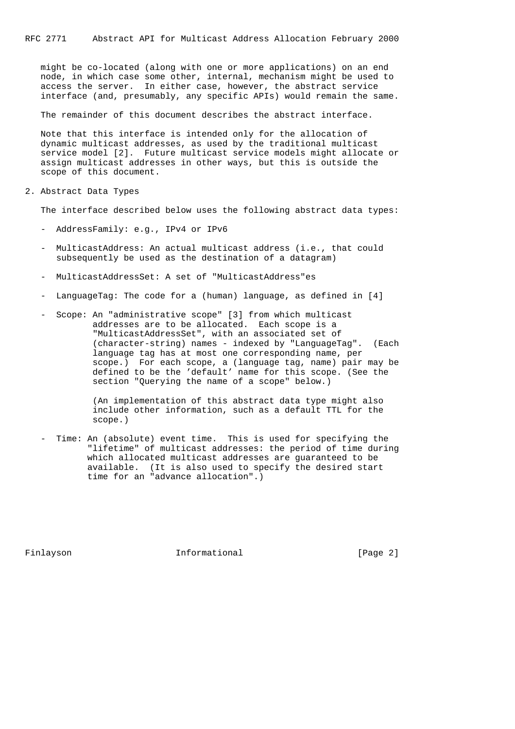might be co-located (along with one or more applications) on an end node, in which case some other, internal, mechanism might be used to access the server. In either case, however, the abstract service interface (and, presumably, any specific APIs) would remain the same.

The remainder of this document describes the abstract interface.

 Note that this interface is intended only for the allocation of dynamic multicast addresses, as used by the traditional multicast service model [2]. Future multicast service models might allocate or assign multicast addresses in other ways, but this is outside the scope of this document.

2. Abstract Data Types

The interface described below uses the following abstract data types:

- AddressFamily: e.g., IPv4 or IPv6
- MulticastAddress: An actual multicast address (i.e., that could subsequently be used as the destination of a datagram)
- MulticastAddressSet: A set of "MulticastAddress"es
- LanguageTag: The code for a (human) language, as defined in [4]
- Scope: An "administrative scope" [3] from which multicast addresses are to be allocated. Each scope is a "MulticastAddressSet", with an associated set of (character-string) names - indexed by "LanguageTag". (Each language tag has at most one corresponding name, per scope.) For each scope, a (language tag, name) pair may be defined to be the 'default' name for this scope. (See the section "Querying the name of a scope" below.)

 (An implementation of this abstract data type might also include other information, such as a default TTL for the scope.)

Time: An (absolute) event time. This is used for specifying the "lifetime" of multicast addresses: the period of time during which allocated multicast addresses are guaranteed to be available. (It is also used to specify the desired start time for an "advance allocation".)

Finlayson **Informational** Informational [Page 2]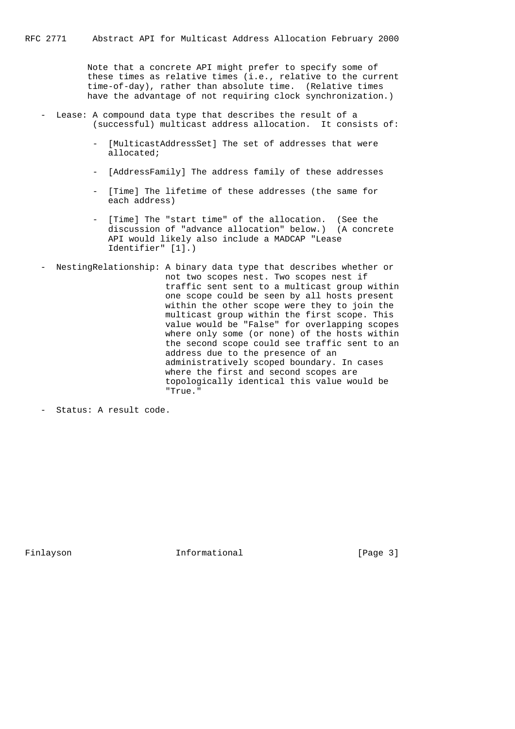Note that a concrete API might prefer to specify some of these times as relative times (i.e., relative to the current time-of-day), rather than absolute time. (Relative times have the advantage of not requiring clock synchronization.)

- Lease: A compound data type that describes the result of a (successful) multicast address allocation. It consists of:
	- [MulticastAddressSet] The set of addresses that were allocated;
	- [AddressFamily] The address family of these addresses
	- [Time] The lifetime of these addresses (the same for each address)
	- [Time] The "start time" of the allocation. (See the discussion of "advance allocation" below.) (A concrete API would likely also include a MADCAP "Lease Identifier" [1].)
- NestingRelationship: A binary data type that describes whether or not two scopes nest. Two scopes nest if traffic sent sent to a multicast group within one scope could be seen by all hosts present within the other scope were they to join the multicast group within the first scope. This value would be "False" for overlapping scopes where only some (or none) of the hosts within the second scope could see traffic sent to an address due to the presence of an administratively scoped boundary. In cases where the first and second scopes are topologically identical this value would be "True."

Finlayson **Informational** Informational [Page 3]

 <sup>-</sup> Status: A result code.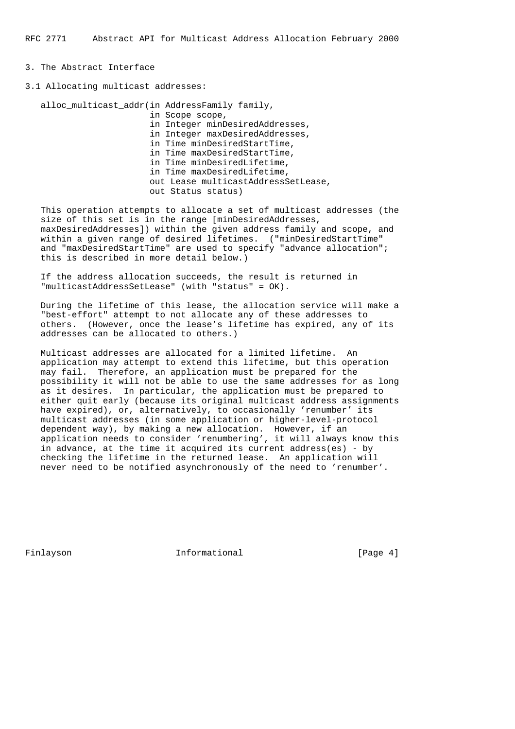# 3. The Abstract Interface

3.1 Allocating multicast addresses:

 alloc\_multicast\_addr(in AddressFamily family, in Scope scope, in Integer minDesiredAddresses, in Integer maxDesiredAddresses, in Time minDesiredStartTime, in Time maxDesiredStartTime, in Time minDesiredLifetime, in Time maxDesiredLifetime, out Lease multicastAddressSetLease, out Status status)

 This operation attempts to allocate a set of multicast addresses (the size of this set is in the range [minDesiredAddresses, maxDesiredAddresses]) within the given address family and scope, and within a given range of desired lifetimes. ("minDesiredStartTime" and "maxDesiredStartTime" are used to specify "advance allocation"; this is described in more detail below.)

 If the address allocation succeeds, the result is returned in "multicastAddressSetLease" (with "status" = OK).

 During the lifetime of this lease, the allocation service will make a "best-effort" attempt to not allocate any of these addresses to others. (However, once the lease's lifetime has expired, any of its addresses can be allocated to others.)

 Multicast addresses are allocated for a limited lifetime. An application may attempt to extend this lifetime, but this operation may fail. Therefore, an application must be prepared for the possibility it will not be able to use the same addresses for as long as it desires. In particular, the application must be prepared to either quit early (because its original multicast address assignments have expired), or, alternatively, to occasionally 'renumber' its multicast addresses (in some application or higher-level-protocol dependent way), by making a new allocation. However, if an application needs to consider 'renumbering', it will always know this in advance, at the time it acquired its current address(es) - by checking the lifetime in the returned lease. An application will never need to be notified asynchronously of the need to 'renumber'.

Finlayson **Informational Informational** [Page 4]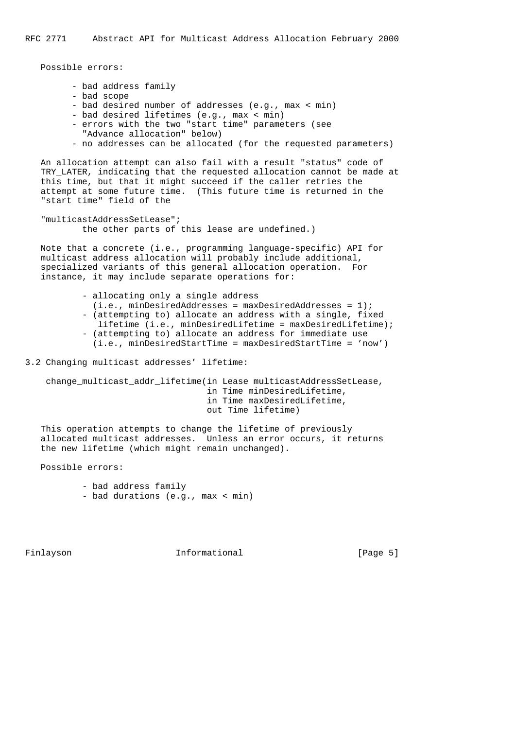Possible errors:

- bad address family
- bad scope
- bad desired number of addresses (e.g., max < min)
- bad desired lifetimes (e.g., max < min)
- errors with the two "start time" parameters (see
	- "Advance allocation" below)
- no addresses can be allocated (for the requested parameters)

 An allocation attempt can also fail with a result "status" code of TRY\_LATER, indicating that the requested allocation cannot be made at this time, but that it might succeed if the caller retries the attempt at some future time. (This future time is returned in the "start time" field of the

 "multicastAddressSetLease"; the other parts of this lease are undefined.)

 Note that a concrete (i.e., programming language-specific) API for multicast address allocation will probably include additional, specialized variants of this general allocation operation. For instance, it may include separate operations for:

> - allocating only a single address  $(i.e., minDesiredAddresses = maxDesiredAddress = 1);$  - (attempting to) allocate an address with a single, fixed lifetime (i.e., minDesiredLifetime = maxDesiredLifetime); - (attempting to) allocate an address for immediate use (i.e., minDesiredStartTime = maxDesiredStartTime = 'now')

3.2 Changing multicast addresses' lifetime:

 change\_multicast\_addr\_lifetime(in Lease multicastAddressSetLease, in Time minDesiredLifetime, in Time maxDesiredLifetime, out Time lifetime)

 This operation attempts to change the lifetime of previously allocated multicast addresses. Unless an error occurs, it returns the new lifetime (which might remain unchanged).

Possible errors:

 - bad address family - bad durations (e.g., max < min)

Finlayson **Informational** Informational [Page 5]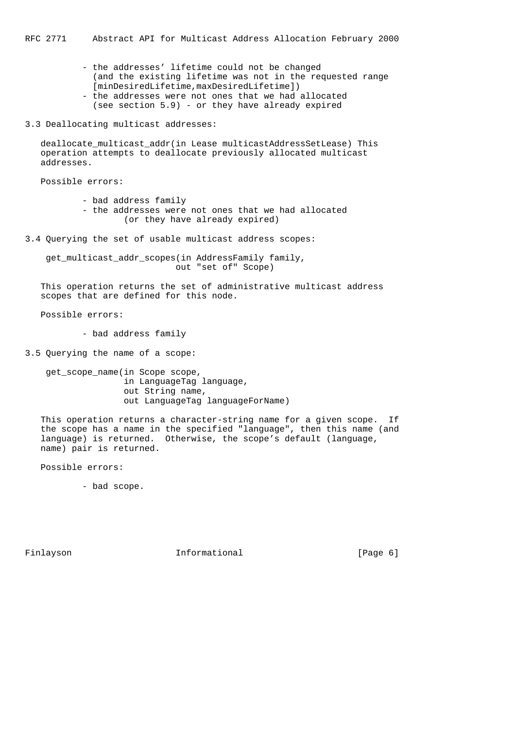RFC 2771 Abstract API for Multicast Address Allocation February 2000

- the addresses' lifetime could not be changed (and the existing lifetime was not in the requested range [minDesiredLifetime,maxDesiredLifetime]) - the addresses were not ones that we had allocated
- (see section 5.9) or they have already expired
- 3.3 Deallocating multicast addresses:

deallocate multicast addr(in Lease multicastAddressSetLease) This operation attempts to deallocate previously allocated multicast addresses.

Possible errors:

- bad address family
- the addresses were not ones that we had allocated (or they have already expired)
- 3.4 Querying the set of usable multicast address scopes:

get multicast addr scopes(in AddressFamily family, out "set of" Scope)

 This operation returns the set of administrative multicast address scopes that are defined for this node.

Possible errors:

- bad address family

3.5 Querying the name of a scope:

 get\_scope\_name(in Scope scope, in LanguageTag language, out String name, out LanguageTag languageForName)

 This operation returns a character-string name for a given scope. If the scope has a name in the specified "language", then this name (and language) is returned. Otherwise, the scope's default (language, name) pair is returned.

Possible errors:

- bad scope.

Finlayson **Informational** Informational [Page 6]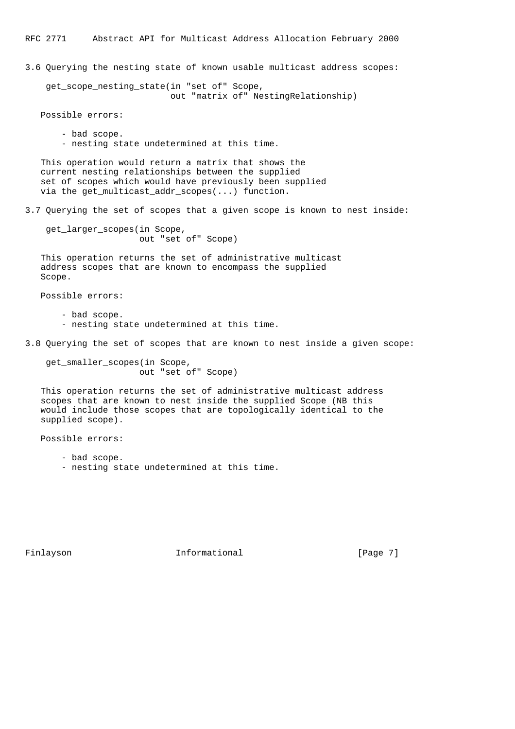3.6 Querying the nesting state of known usable multicast address scopes:

get scope nesting state(in "set of" Scope, out "matrix of" NestingRelationship)

Possible errors:

 - bad scope. - nesting state undetermined at this time.

 This operation would return a matrix that shows the current nesting relationships between the supplied set of scopes which would have previously been supplied via the get\_multicast\_addr\_scopes(...) function.

3.7 Querying the set of scopes that a given scope is known to nest inside:

 get\_larger\_scopes(in Scope, out "set of" Scope)

 This operation returns the set of administrative multicast address scopes that are known to encompass the supplied Scope.

Possible errors:

- bad scope.
- nesting state undetermined at this time.
- 3.8 Querying the set of scopes that are known to nest inside a given scope:

 get\_smaller\_scopes(in Scope, out "set of" Scope)

 This operation returns the set of administrative multicast address scopes that are known to nest inside the supplied Scope (NB this would include those scopes that are topologically identical to the supplied scope).

Possible errors:

- bad scope.

- nesting state undetermined at this time.

Finlayson **Informational** Informational [Page 7]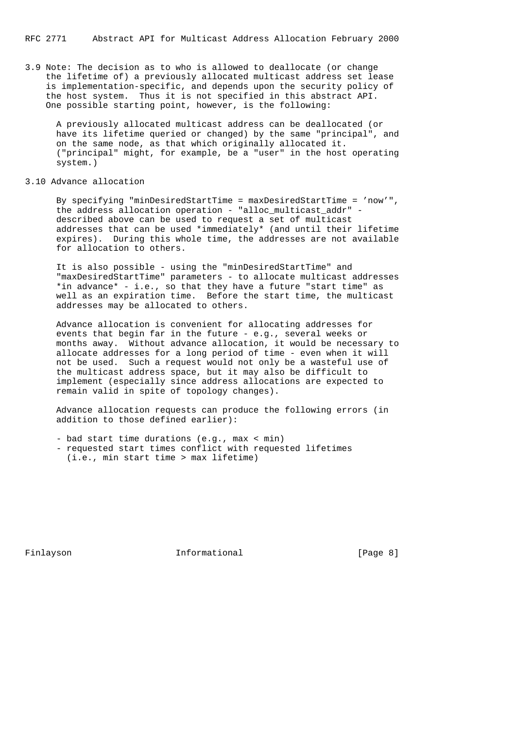3.9 Note: The decision as to who is allowed to deallocate (or change the lifetime of) a previously allocated multicast address set lease is implementation-specific, and depends upon the security policy of the host system. Thus it is not specified in this abstract API. One possible starting point, however, is the following:

 A previously allocated multicast address can be deallocated (or have its lifetime queried or changed) by the same "principal", and on the same node, as that which originally allocated it. ("principal" might, for example, be a "user" in the host operating system.)

# 3.10 Advance allocation

 By specifying "minDesiredStartTime = maxDesiredStartTime = 'now'", the address allocation operation - "alloc\_multicast\_addr" described above can be used to request a set of multicast addresses that can be used \*immediately\* (and until their lifetime expires). During this whole time, the addresses are not available for allocation to others.

 It is also possible - using the "minDesiredStartTime" and "maxDesiredStartTime" parameters - to allocate multicast addresses \*in advance\* - i.e., so that they have a future "start time" as well as an expiration time. Before the start time, the multicast addresses may be allocated to others.

 Advance allocation is convenient for allocating addresses for events that begin far in the future - e.g., several weeks or months away. Without advance allocation, it would be necessary to allocate addresses for a long period of time - even when it will not be used. Such a request would not only be a wasteful use of the multicast address space, but it may also be difficult to implement (especially since address allocations are expected to remain valid in spite of topology changes).

 Advance allocation requests can produce the following errors (in addition to those defined earlier):

- bad start time durations (e.g., max < min)
- requested start times conflict with requested lifetimes (i.e., min start time > max lifetime)

Finlayson **Informational** Informational [Page 8]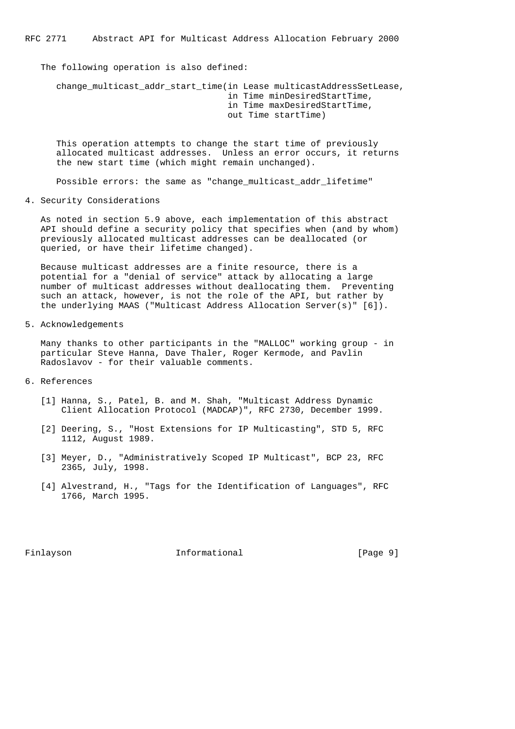The following operation is also defined:

change multicast addr start time(in Lease multicastAddressSetLease, in Time minDesiredStartTime, in Time maxDesiredStartTime, out Time startTime)

 This operation attempts to change the start time of previously allocated multicast addresses. Unless an error occurs, it returns the new start time (which might remain unchanged).

Possible errors: the same as "change\_multicast\_addr\_lifetime"

4. Security Considerations

 As noted in section 5.9 above, each implementation of this abstract API should define a security policy that specifies when (and by whom) previously allocated multicast addresses can be deallocated (or queried, or have their lifetime changed).

 Because multicast addresses are a finite resource, there is a potential for a "denial of service" attack by allocating a large number of multicast addresses without deallocating them. Preventing such an attack, however, is not the role of the API, but rather by the underlying MAAS ("Multicast Address Allocation Server(s)" [6]).

5. Acknowledgements

 Many thanks to other participants in the "MALLOC" working group - in particular Steve Hanna, Dave Thaler, Roger Kermode, and Pavlin Radoslavov - for their valuable comments.

- 6. References
	- [1] Hanna, S., Patel, B. and M. Shah, "Multicast Address Dynamic Client Allocation Protocol (MADCAP)", RFC 2730, December 1999.
	- [2] Deering, S., "Host Extensions for IP Multicasting", STD 5, RFC 1112, August 1989.
	- [3] Meyer, D., "Administratively Scoped IP Multicast", BCP 23, RFC 2365, July, 1998.
	- [4] Alvestrand, H., "Tags for the Identification of Languages", RFC 1766, March 1995.

Finlayson **Informational Informational** [Page 9]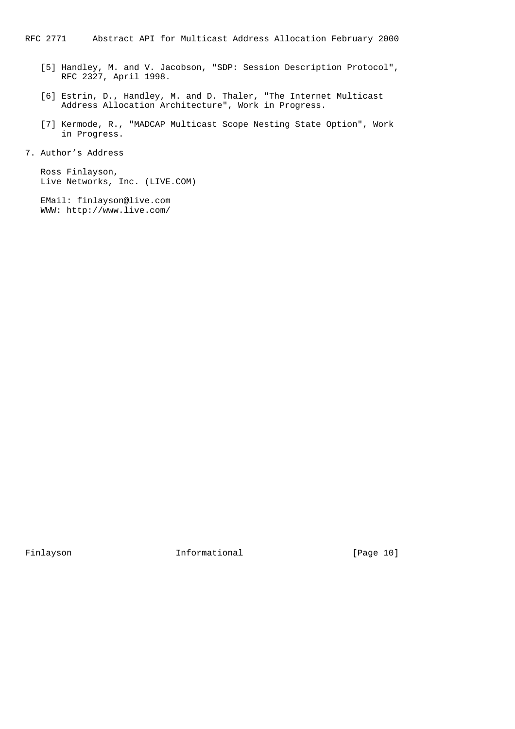- [5] Handley, M. and V. Jacobson, "SDP: Session Description Protocol", RFC 2327, April 1998.
- [6] Estrin, D., Handley, M. and D. Thaler, "The Internet Multicast Address Allocation Architecture", Work in Progress.
- [7] Kermode, R., "MADCAP Multicast Scope Nesting State Option", Work in Progress.
- 7. Author's Address

 Ross Finlayson, Live Networks, Inc. (LIVE.COM)

 EMail: finlayson@live.com WWW: http://www.live.com/

Finlayson 10 Informational 10 Page 10]